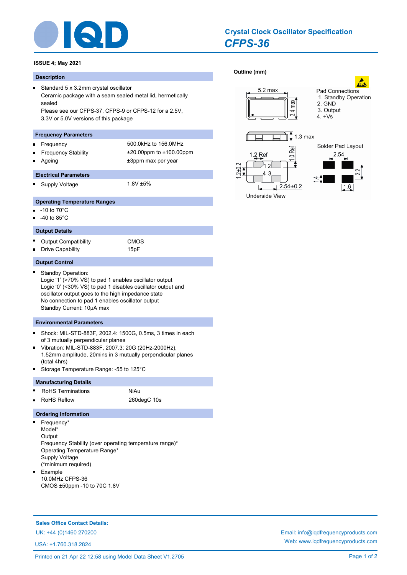

# *CFPS-36* **Crystal Clock Oscillator Specification**

# **ISSUE 4; May 2021**

#### **Description**

 $\blacksquare$ 

Ē

Standard 5 x 3.2mm crystal oscillator Ceramic package with a seam sealed metal lid, hermetically sealed Please see our CFPS-37, CFPS-9 or CFPS-12 for a 2.5V, 3.3V or 5.0V versions of this package

# **Frequency Parameters**

- Frequency 500.0kHz to 156.0MHz n.
- 
- Frequency Stability ±20.00ppm to ±100.00ppm Ageing  $\pm 3$ ppm max per year

# **Electrical Parameters**

Supply Voltage 1.8V ±5%  $\blacksquare$ 

- **Operating Temperature Ranges**
- -10 to 70°C
- -40 to 85°C

### **Output Details**

× Output Compatibility **CMOS** Drive Capability 15pF o.

#### **Output Control**

Standby Operation: Logic '1' (>70% VS) to pad 1 enables oscillator output Logic '0' (<30% VS) to pad 1 disables oscillator output and oscillator output goes to the high impedance state No connection to pad 1 enables oscillator output Standby Current: 10µA max

# **Environmental Parameters**

- Shock: MIL-STD-883F, 2002.4: 1500G, 0.5ms, 3 times in each  $\blacksquare$ of 3 mutually perpendicular planes
- Vibration: MIL-STD-883F, 2007.3: 20G (20Hz-2000Hz), 1.52mm amplitude, 20mins in 3 mutually perpendicular planes (total 4hrs)
- Storage Temperature Range: -55 to 125°C

# **Manufacturing Details**

- RoHS Terminations NiAu Ē.
- RoHS Reflow 260degC 10s

### **Ordering Information**

Frequency\*  $\blacksquare$ Model\* **Output** Frequency Stability (over operating temperature range)\* Operating Temperature Range\* Supply Voltage (\*minimum required)  $\blacksquare$ Example 10.0MHz CFPS-36 CMOS ±50ppm -10 to 70C 1.8V

# **Sales Office Contact Details:**

USA: +1.760.318.2824



max

 $-3.4$ 



 $1.3<sub>max</sub>$ 

Pad Connections 1. Standby Operation

Solder Pad Layout

2. GND 3. Output

 $4. +Vs$ 

Underside View

**[Outline \(mm\)](http://www.iqdfrequencyproducts.com/products/search/?type=crystal-clock-oscillator&model=CFPS-36)** 

 $2+0.$ 

 $5.2$  max

UK: +44 (0)1460 270200 Email: info@iqdfrequencyproducts.com Web: www.iqdfrequencyproducts.com